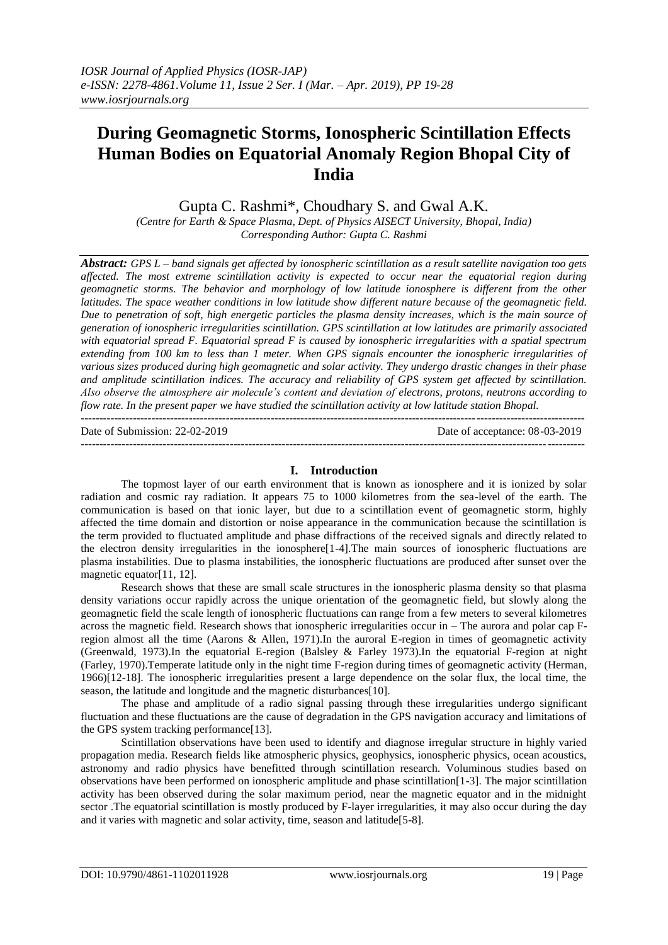# **During Geomagnetic Storms, Ionospheric Scintillation Effects Human Bodies on Equatorial Anomaly Region Bhopal City of India**

Gupta C. Rashmi\*, Choudhary S. and Gwal A.K.

*(Centre for Earth & Space Plasma, Dept. of Physics AISECT University, Bhopal, India) Corresponding Author: Gupta C. Rashmi*

*Abstract: GPS L – band signals get affected by ionospheric scintillation as a result satellite navigation too gets affected. The most extreme scintillation activity is expected to occur near the equatorial region during geomagnetic storms. The behavior and morphology of low latitude ionosphere is different from the other latitudes. The space weather conditions in low latitude show different nature because of the geomagnetic field. Due to penetration of soft, high energetic particles the plasma density increases, which is the main source of generation of ionospheric irregularities scintillation. GPS scintillation at low latitudes are primarily associated*  with equatorial spread F. Equatorial spread F is caused by ionospheric irregularities with a spatial spectrum *extending from 100 km to less than 1 meter. When GPS signals encounter the ionospheric irregularities of various sizes produced during high geomagnetic and solar activity. They undergo drastic changes in their phase and amplitude scintillation indices. The accuracy and reliability of GPS system get affected by scintillation. Also observe the atmosphere air molecule's content and deviation of electrons, protons, neutrons according to flow rate. In the present paper we have studied the scintillation activity at low latitude station Bhopal.*

--------------------------------------------------------------------------------------------------------------------------------------- Date of Submission: 22-02-2019 Date of acceptance: 08-03-2019 ---------------------------------------------------------------------------------------------------------------------------------------

## **I. Introduction**

The topmost layer of our earth environment that is known as ionosphere and it is ionized by solar radiation and cosmic ray radiation. It appears 75 to 1000 kilometres from the sea-level of the earth. The communication is based on that ionic layer, but due to a scintillation event of geomagnetic storm, highly affected the time domain and distortion or noise appearance in the communication because the scintillation is the term provided to fluctuated amplitude and phase diffractions of the received signals and directly related to the electron density irregularities in the ionosphere[1-4].The main sources of ionospheric fluctuations are plasma instabilities. Due to plasma instabilities, the ionospheric fluctuations are produced after sunset over the magnetic equator[11, 12].

Research shows that these are small scale structures in the ionospheric plasma density so that plasma density variations occur rapidly across the unique orientation of the geomagnetic field, but slowly along the geomagnetic field the scale length of ionospheric fluctuations can range from a few meters to several kilometres across the magnetic field. Research shows that ionospheric irregularities occur in – The aurora and polar cap Fregion almost all the time (Aarons & Allen, 1971).In the auroral E-region in times of geomagnetic activity (Greenwald, 1973).In the equatorial E-region (Balsley & Farley 1973).In the equatorial F-region at night (Farley, 1970).Temperate latitude only in the night time F-region during times of geomagnetic activity (Herman, 1966)[12-18]. The ionospheric irregularities present a large dependence on the solar flux, the local time, the season, the latitude and longitude and the magnetic disturbances[10].

The phase and amplitude of a radio signal passing through these irregularities undergo significant fluctuation and these fluctuations are the cause of degradation in the GPS navigation accuracy and limitations of the GPS system tracking performance[13].

Scintillation observations have been used to identify and diagnose irregular structure in highly varied propagation media. Research fields like atmospheric physics, geophysics, ionospheric physics, ocean acoustics, astronomy and radio physics have benefitted through scintillation research. Voluminous studies based on observations have been performed on ionospheric amplitude and phase scintillation[1-3]. The major scintillation activity has been observed during the solar maximum period, near the magnetic equator and in the midnight sector .The equatorial scintillation is mostly produced by F-layer irregularities, it may also occur during the day and it varies with magnetic and solar activity, time, season and latitude[5-8].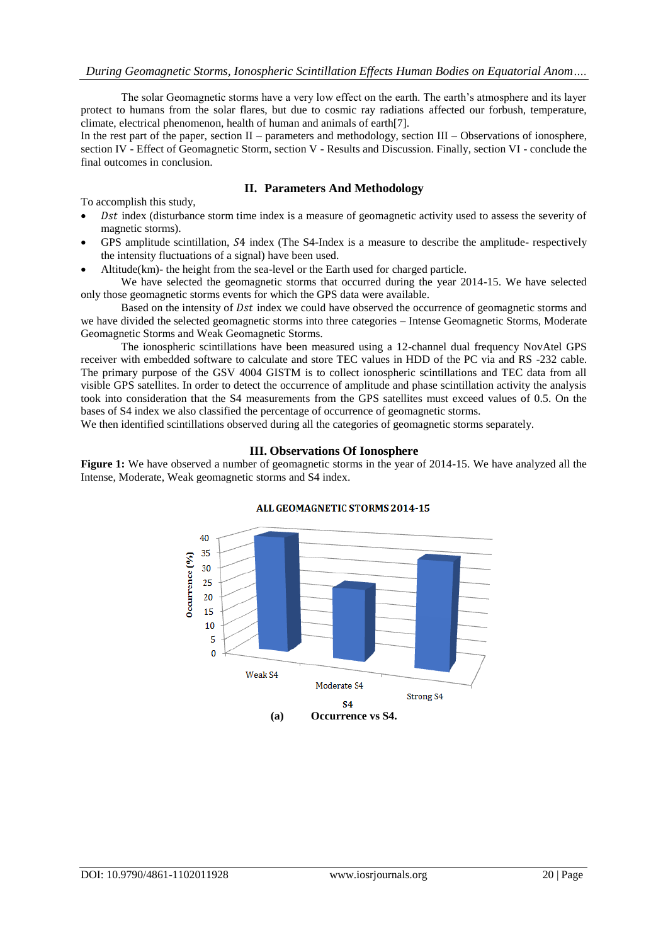The solar Geomagnetic storms have a very low effect on the earth. The earth's atmosphere and its layer protect to humans from the solar flares, but due to cosmic ray radiations affected our forbush, temperature, climate, electrical phenomenon, health of human and animals of earth[7].

In the rest part of the paper, section II – parameters and methodology, section III – Observations of ionosphere, section IV - Effect of Geomagnetic Storm, section V - Results and Discussion. Finally, section VI - conclude the final outcomes in conclusion.

### **II. Parameters And Methodology**

To accomplish this study,

- Dst index (disturbance storm time index is a measure of geomagnetic activity used to assess the severity of magnetic storms).
- GPS amplitude scintillation, S4 index (The S4-Index is a measure to describe the amplitude- respectively the intensity fluctuations of a signal) have been used.
- Altitude(km)- the height from the sea-level or the Earth used for charged particle.

We have selected the geomagnetic storms that occurred during the year 2014-15. We have selected only those geomagnetic storms events for which the GPS data were available.

Based on the intensity of *Dst* index we could have observed the occurrence of geomagnetic storms and we have divided the selected geomagnetic storms into three categories – Intense Geomagnetic Storms, Moderate Geomagnetic Storms and Weak Geomagnetic Storms.

The ionospheric scintillations have been measured using a 12-channel dual frequency NovAtel GPS receiver with embedded software to calculate and store TEC values in HDD of the PC via and RS -232 cable. The primary purpose of the GSV 4004 GISTM is to collect ionospheric scintillations and TEC data from all visible GPS satellites. In order to detect the occurrence of amplitude and phase scintillation activity the analysis took into consideration that the S4 measurements from the GPS satellites must exceed values of 0.5. On the bases of S4 index we also classified the percentage of occurrence of geomagnetic storms.

We then identified scintillations observed during all the categories of geomagnetic storms separately.

### **III. Observations Of Ionosphere**

**Figure 1:** We have observed a number of geomagnetic storms in the year of 2014-15. We have analyzed all the Intense, Moderate, Weak geomagnetic storms and S4 index.



#### ALL GEOMAGNETIC STORMS 2014-15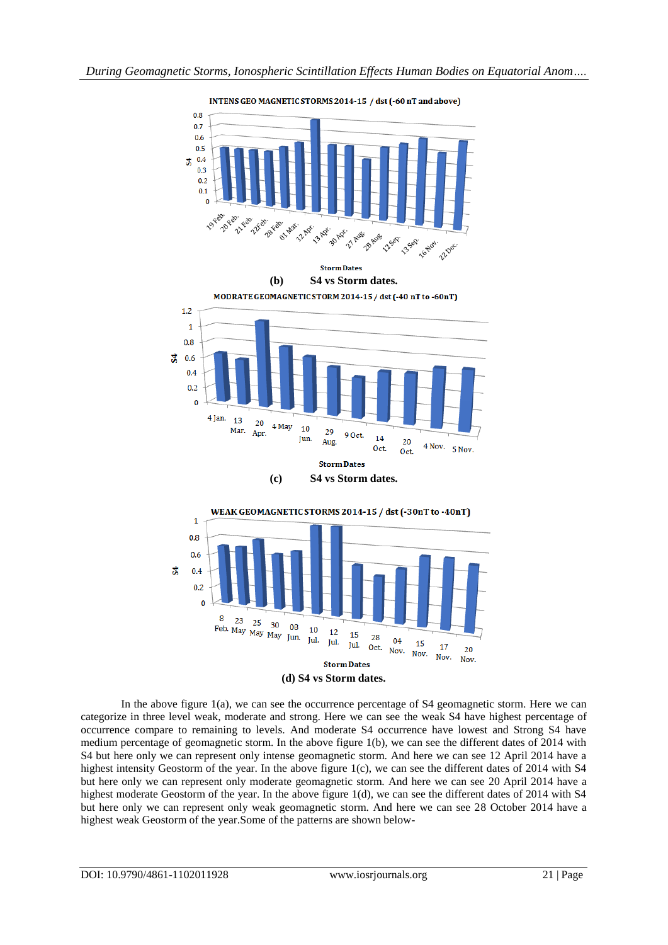





In the above figure 1(a), we can see the occurrence percentage of S4 geomagnetic storm. Here we can categorize in three level weak, moderate and strong. Here we can see the weak S4 have highest percentage of occurrence compare to remaining to levels. And moderate S4 occurrence have lowest and Strong S4 have medium percentage of geomagnetic storm. In the above figure 1(b), we can see the different dates of 2014 with S4 but here only we can represent only intense geomagnetic storm. And here we can see 12 April 2014 have a highest intensity Geostorm of the year. In the above figure 1(c), we can see the different dates of 2014 with S4 but here only we can represent only moderate geomagnetic storm. And here we can see 20 April 2014 have a highest moderate Geostorm of the year. In the above figure 1(d), we can see the different dates of 2014 with S4 but here only we can represent only weak geomagnetic storm. And here we can see 28 October 2014 have a highest weak Geostorm of the year.Some of the patterns are shown below-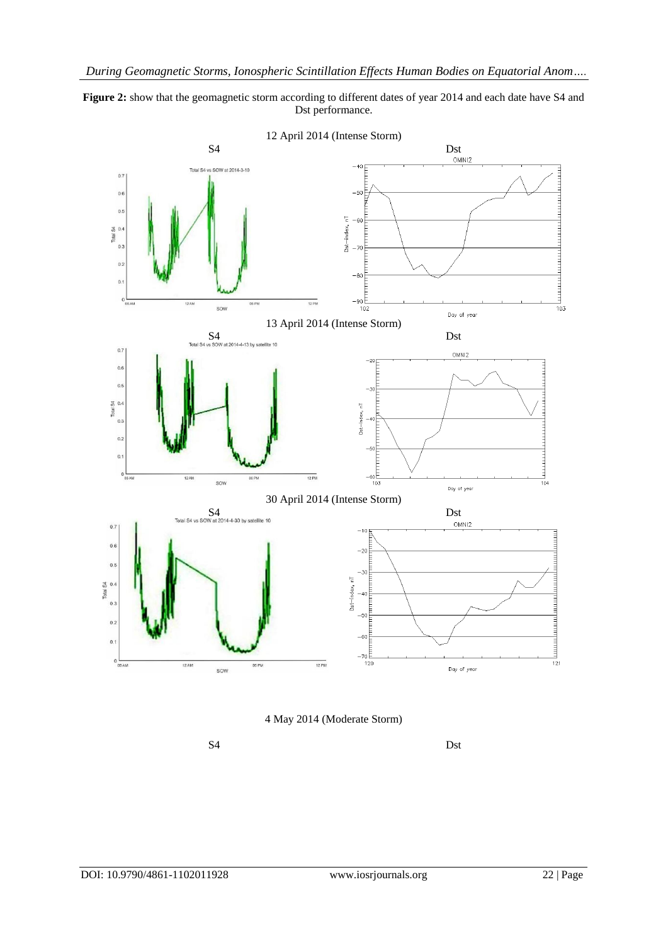





S4 Dst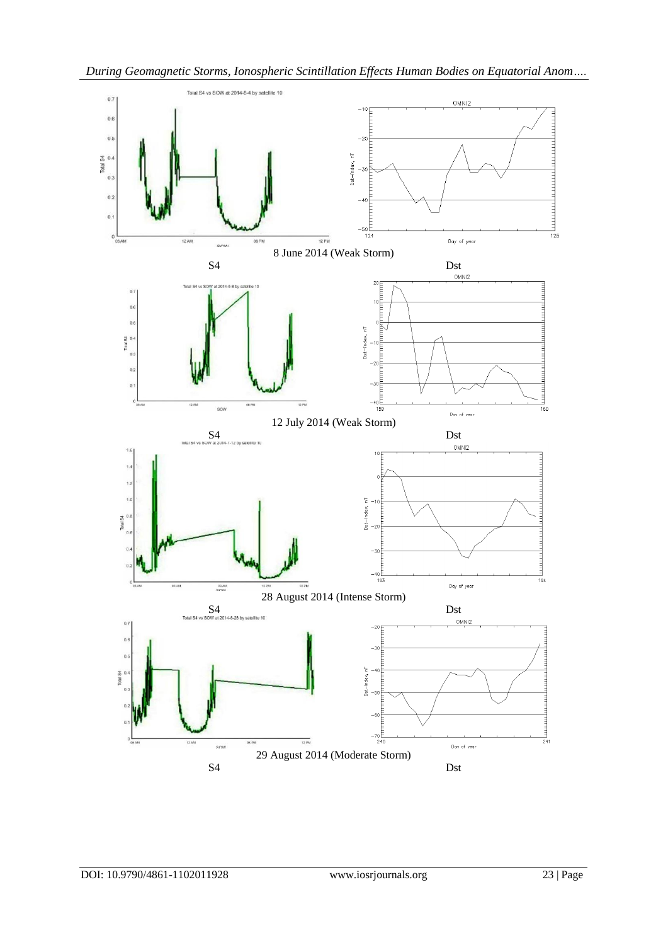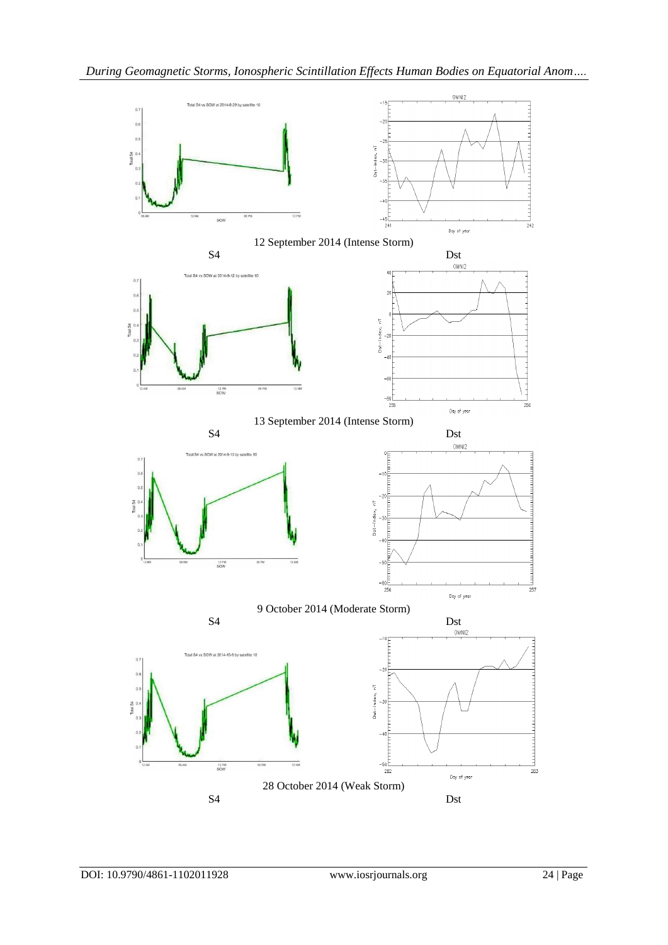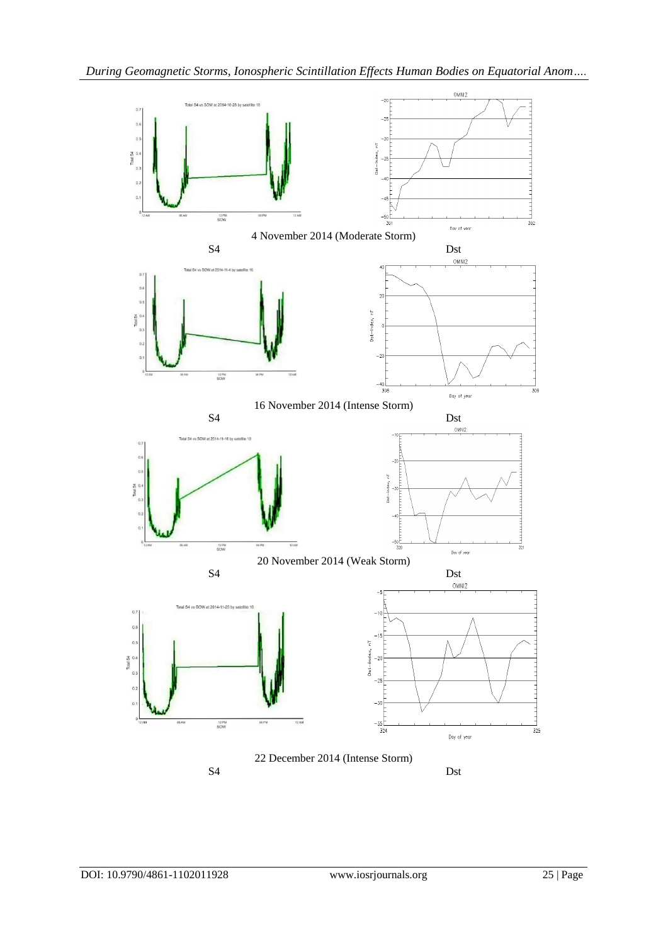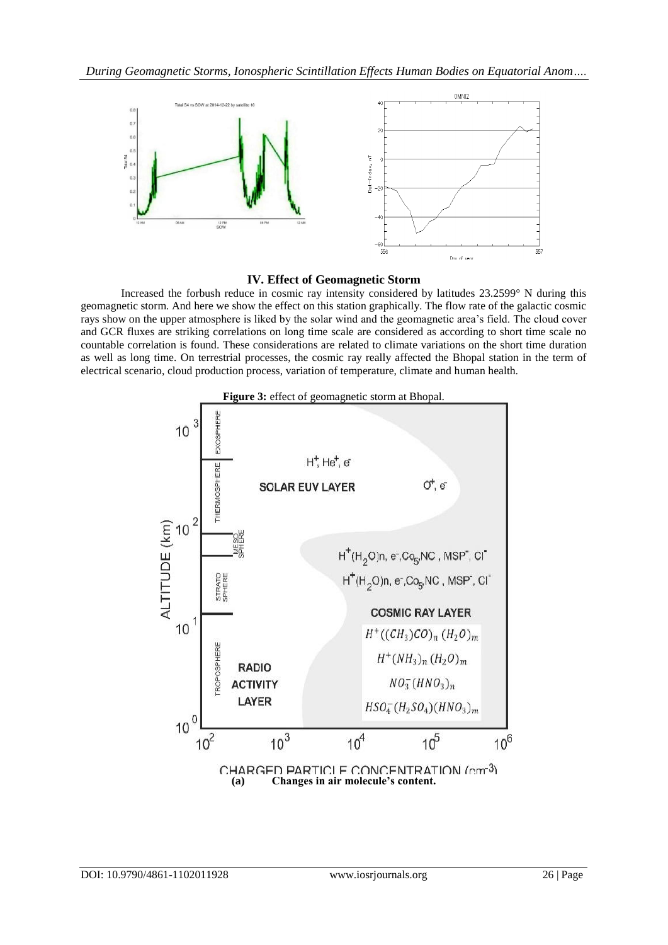

# **IV. Effect of Geomagnetic Storm**

Increased the forbush reduce in cosmic ray intensity considered by latitudes 23.2599° N during this geomagnetic storm. And here we show the effect on this station graphically. The flow rate of the galactic cosmic rays show on the upper atmosphere is liked by the solar wind and the geomagnetic area's field. The cloud cover and GCR fluxes are striking correlations on long time scale are considered as according to short time scale no countable correlation is found. These considerations are related to climate variations on the short time duration as well as long time. On terrestrial processes, the cosmic ray really affected the Bhopal station in the term of electrical scenario, cloud production process, variation of temperature, climate and human health.



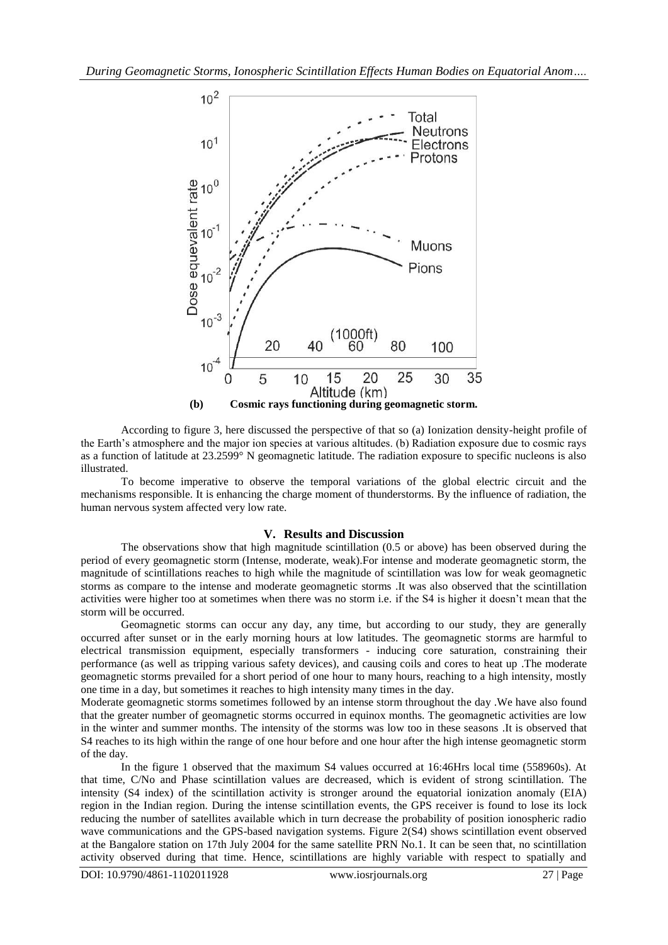

According to figure 3, here discussed the perspective of that so (a) Ionization density-height profile of the Earth's atmosphere and the major ion species at various altitudes. (b) Radiation exposure due to cosmic rays as a function of latitude at 23.2599° N geomagnetic latitude. The radiation exposure to specific nucleons is also illustrated.

To become imperative to observe the temporal variations of the global electric circuit and the mechanisms responsible. It is enhancing the charge moment of thunderstorms. By the influence of radiation, the human nervous system affected very low rate.

### **V. Results and Discussion**

The observations show that high magnitude scintillation (0.5 or above) has been observed during the period of every geomagnetic storm (Intense, moderate, weak).For intense and moderate geomagnetic storm, the magnitude of scintillations reaches to high while the magnitude of scintillation was low for weak geomagnetic storms as compare to the intense and moderate geomagnetic storms .It was also observed that the scintillation activities were higher too at sometimes when there was no storm i.e. if the S4 is higher it doesn't mean that the storm will be occurred.

Geomagnetic storms can occur any day, any time, but according to our study, they are generally occurred after sunset or in the early morning hours at low latitudes. The geomagnetic storms are harmful to electrical transmission equipment, especially transformers - inducing core saturation, constraining their performance (as well as tripping various safety devices), and causing coils and cores to heat up .The moderate geomagnetic storms prevailed for a short period of one hour to many hours, reaching to a high intensity, mostly one time in a day, but sometimes it reaches to high intensity many times in the day.

Moderate geomagnetic storms sometimes followed by an intense storm throughout the day .We have also found that the greater number of geomagnetic storms occurred in equinox months. The geomagnetic activities are low in the winter and summer months. The intensity of the storms was low too in these seasons .It is observed that S4 reaches to its high within the range of one hour before and one hour after the high intense geomagnetic storm of the day.

In the figure 1 observed that the maximum S4 values occurred at 16:46Hrs local time (558960s). At that time, C/No and Phase scintillation values are decreased, which is evident of strong scintillation. The intensity (S4 index) of the scintillation activity is stronger around the equatorial ionization anomaly (EIA) region in the Indian region. During the intense scintillation events, the GPS receiver is found to lose its lock reducing the number of satellites available which in turn decrease the probability of position ionospheric radio wave communications and the GPS-based navigation systems. Figure 2(S4) shows scintillation event observed at the Bangalore station on 17th July 2004 for the same satellite PRN No.1. It can be seen that, no scintillation activity observed during that time. Hence, scintillations are highly variable with respect to spatially and